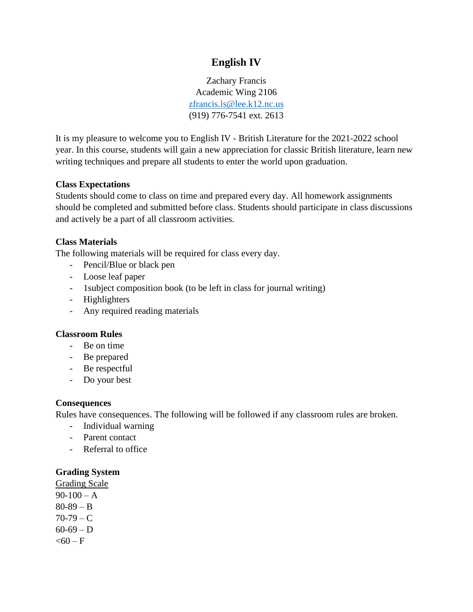# **English IV**

Zachary Francis Academic Wing 2106 [zfrancis.ls@lee.k12.nc.us](mailto:zfrancis.ls@lee.k12.nc.us) (919) 776-7541 ext. 2613

It is my pleasure to welcome you to English IV - British Literature for the 2021-2022 school year. In this course, students will gain a new appreciation for classic British literature, learn new writing techniques and prepare all students to enter the world upon graduation.

#### **Class Expectations**

Students should come to class on time and prepared every day. All homework assignments should be completed and submitted before class. Students should participate in class discussions and actively be a part of all classroom activities.

# **Class Materials**

The following materials will be required for class every day.

- Pencil/Blue or black pen
- Loose leaf paper
- 1subject composition book (to be left in class for journal writing)
- Highlighters
- Any required reading materials

#### **Classroom Rules**

- Be on time
- Be prepared
- Be respectful
- Do your best

#### **Consequences**

Rules have consequences. The following will be followed if any classroom rules are broken.

- Individual warning
- Parent contact
- Referral to office

#### **Grading System**

Grading Scale  $90-100 - A$  $80-89 - B$  $70-79 - C$  $60-69 - D$  $< 60 - F$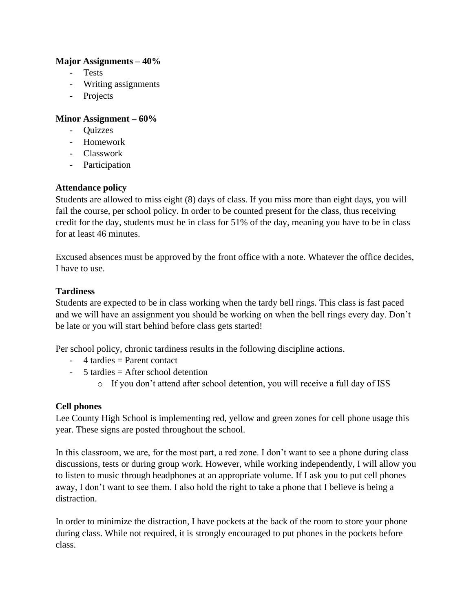## **Major Assignments – 40%**

- Tests
- Writing assignments
- Projects

## **Minor Assignment – 60%**

- Quizzes
- Homework
- Classwork
- Participation

## **Attendance policy**

Students are allowed to miss eight (8) days of class. If you miss more than eight days, you will fail the course, per school policy. In order to be counted present for the class, thus receiving credit for the day, students must be in class for 51% of the day, meaning you have to be in class for at least 46 minutes.

Excused absences must be approved by the front office with a note. Whatever the office decides, I have to use.

## **Tardiness**

Students are expected to be in class working when the tardy bell rings. This class is fast paced and we will have an assignment you should be working on when the bell rings every day. Don't be late or you will start behind before class gets started!

Per school policy, chronic tardiness results in the following discipline actions.

- $-4$  tardies  $=$  Parent contact
- $-5$  tardies  $=$  After school detention
	- o If you don't attend after school detention, you will receive a full day of ISS

# **Cell phones**

Lee County High School is implementing red, yellow and green zones for cell phone usage this year. These signs are posted throughout the school.

In this classroom, we are, for the most part, a red zone. I don't want to see a phone during class discussions, tests or during group work. However, while working independently, I will allow you to listen to music through headphones at an appropriate volume. If I ask you to put cell phones away, I don't want to see them. I also hold the right to take a phone that I believe is being a distraction.

In order to minimize the distraction, I have pockets at the back of the room to store your phone during class. While not required, it is strongly encouraged to put phones in the pockets before class.